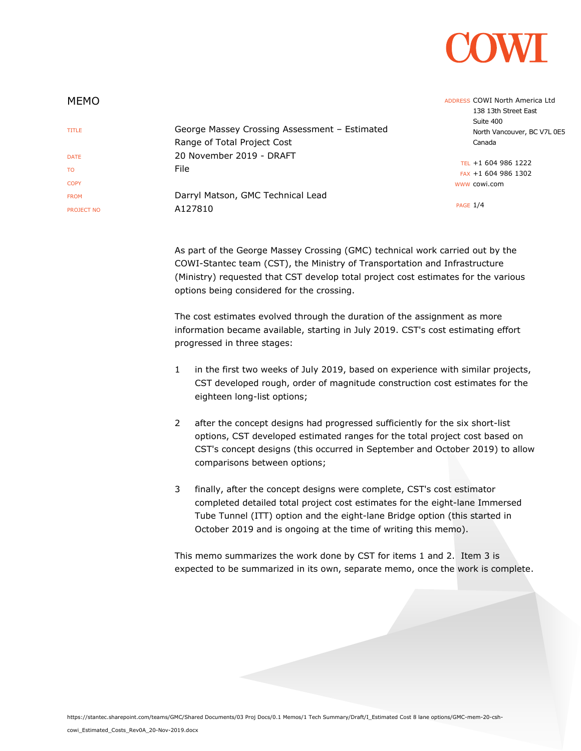

| <b>MEMO</b>       |                                               | ADDRESS COWI North America Ltd<br>138 13th Street East |
|-------------------|-----------------------------------------------|--------------------------------------------------------|
| <b>TITLE</b>      | George Massey Crossing Assessment - Estimated | Suite 400<br>North Vancouver, BC V7L 0E5               |
|                   | Range of Total Project Cost                   | Canada                                                 |
| <b>DATE</b>       | 20 November 2019 - DRAFT                      |                                                        |
| T <sub>0</sub>    | File                                          | TEL +1 604 986 1222                                    |
|                   |                                               | FAX +1 604 986 1302                                    |
| <b>COPY</b>       |                                               | www cowi.com                                           |
| <b>FROM</b>       | Darryl Matson, GMC Technical Lead             |                                                        |
| <b>PROJECT NO</b> | A127810                                       | <b>PAGE 1/4</b>                                        |
|                   |                                               |                                                        |

As part of the George Massey Crossing (GMC) technical work carried out by the COWI-Stantec team (CST), the Ministry of Transportation and Infrastructure (Ministry) requested that CST develop total project cost estimates for the various options being considered for the crossing.

The cost estimates evolved through the duration of the assignment as more information became available, starting in July 2019. CST's cost estimating effort progressed in three stages:

- 1 in the first two weeks of July 2019, based on experience with similar projects, CST developed rough, order of magnitude construction cost estimates for the eighteen long-list options;
- 2 after the concept designs had progressed sufficiently for the six short-list options, CST developed estimated ranges for the total project cost based on CST's concept designs (this occurred in September and October 2019) to allow comparisons between options;
- 3 finally, after the concept designs were complete, CST's cost estimator completed detailed total project cost estimates for the eight-lane Immersed Tube Tunnel (ITT) option and the eight-lane Bridge option (this started in October 2019 and is ongoing at the time of writing this memo).

This memo summarizes the work done by CST for items 1 and 2. Item 3 is expected to be summarized in its own, separate memo, once the work is complete.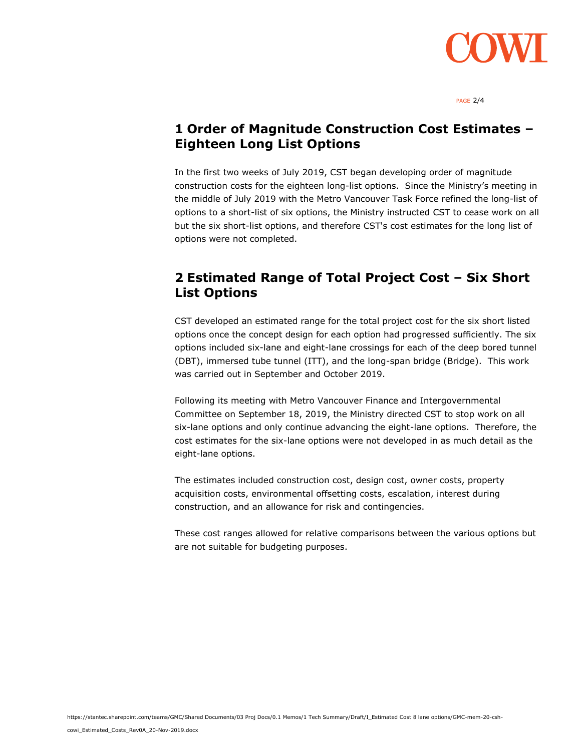

PAGE 2/4

### **1 Order of Magnitude Construction Cost Estimates – Eighteen Long List Options**

In the first two weeks of July 2019, CST began developing order of magnitude construction costs for the eighteen long-list options. Since the Ministry's meeting in the middle of July 2019 with the Metro Vancouver Task Force refined the long-list of options to a short-list of six options, the Ministry instructed CST to cease work on all but the six short-list options, and therefore CST's cost estimates for the long list of options were not completed.

# **2 Estimated Range of Total Project Cost – Six Short List Options**

CST developed an estimated range for the total project cost for the six short listed options once the concept design for each option had progressed sufficiently. The six options included six-lane and eight-lane crossings for each of the deep bored tunnel (DBT), immersed tube tunnel (ITT), and the long-span bridge (Bridge). This work was carried out in September and October 2019.

Following its meeting with Metro Vancouver Finance and Intergovernmental Committee on September 18, 2019, the Ministry directed CST to stop work on all six-lane options and only continue advancing the eight-lane options. Therefore, the cost estimates for the six-lane options were not developed in as much detail as the eight-lane options.

The estimates included construction cost, design cost, owner costs, property acquisition costs, environmental offsetting costs, escalation, interest during construction, and an allowance for risk and contingencies.

These cost ranges allowed for relative comparisons between the various options but are not suitable for budgeting purposes.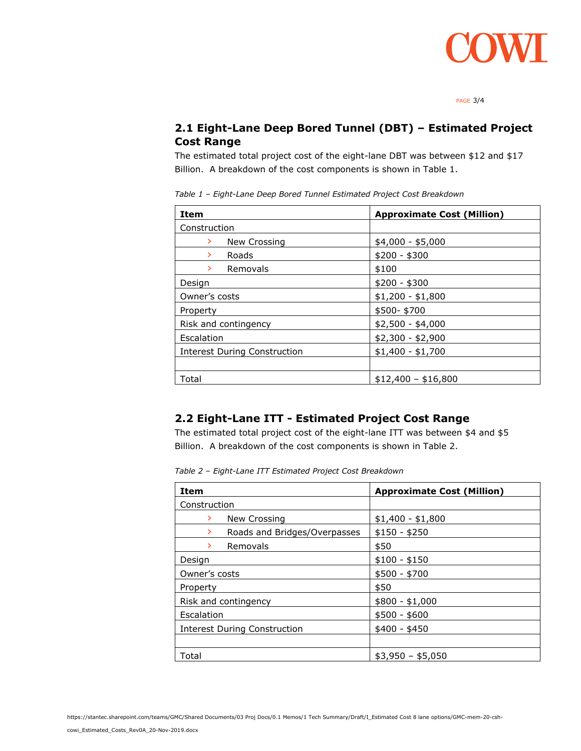

PAGE 3/4

#### **2.1 Eight-Lane Deep Bored Tunnel (DBT) – Estimated Project Cost Range**

The estimated total project cost of the eight-lane DBT was between \$12 and \$17 Billion. A breakdown of the cost components is shown in Table 1.

*Table 1 – Eight-Lane Deep Bored Tunnel Estimated Project Cost Breakdown*

| <b>Item</b>                         | <b>Approximate Cost (Million)</b> |
|-------------------------------------|-----------------------------------|
| Construction                        |                                   |
| New Crossing<br>≻                   | $$4,000 - $5,000$                 |
| Roads<br>≻                          | $$200 - $300$                     |
| Removals<br>≻                       | \$100                             |
| Design                              | $$200 - $300$                     |
| Owner's costs                       | $$1,200 - $1,800$                 |
| Property                            | \$500-\$700                       |
| Risk and contingency                | $$2,500 - $4,000$                 |
| Escalation                          | $$2,300 - $2,900$                 |
| <b>Interest During Construction</b> | $$1,400 - $1,700$                 |
|                                     |                                   |
| Total                               | $$12,400 - $16,800$               |

#### **2.2 Eight-Lane ITT - Estimated Project Cost Range**

The estimated total project cost of the eight-lane ITT was between \$4 and \$5 Billion. A breakdown of the cost components is shown in Table 2.

*Table 2 – Eight-Lane ITT Estimated Project Cost Breakdown*

| <b>Item</b>                         | <b>Approximate Cost (Million)</b> |
|-------------------------------------|-----------------------------------|
| Construction                        |                                   |
| New Crossing<br>≻                   | $$1,400 - $1,800$                 |
| Roads and Bridges/Overpasses<br>≻   | $$150 - $250$                     |
| Removals<br>⋗                       | \$50                              |
| Design                              | $$100 - $150$                     |
| Owner's costs                       | $$500 - $700$                     |
| Property                            | \$50                              |
| Risk and contingency                | $$800 - $1,000$                   |
| Escalation                          | $$500 - $600$                     |
| <b>Interest During Construction</b> | $$400 - $450$                     |
|                                     |                                   |
| Total                               | $$3,950 - $5,050$                 |